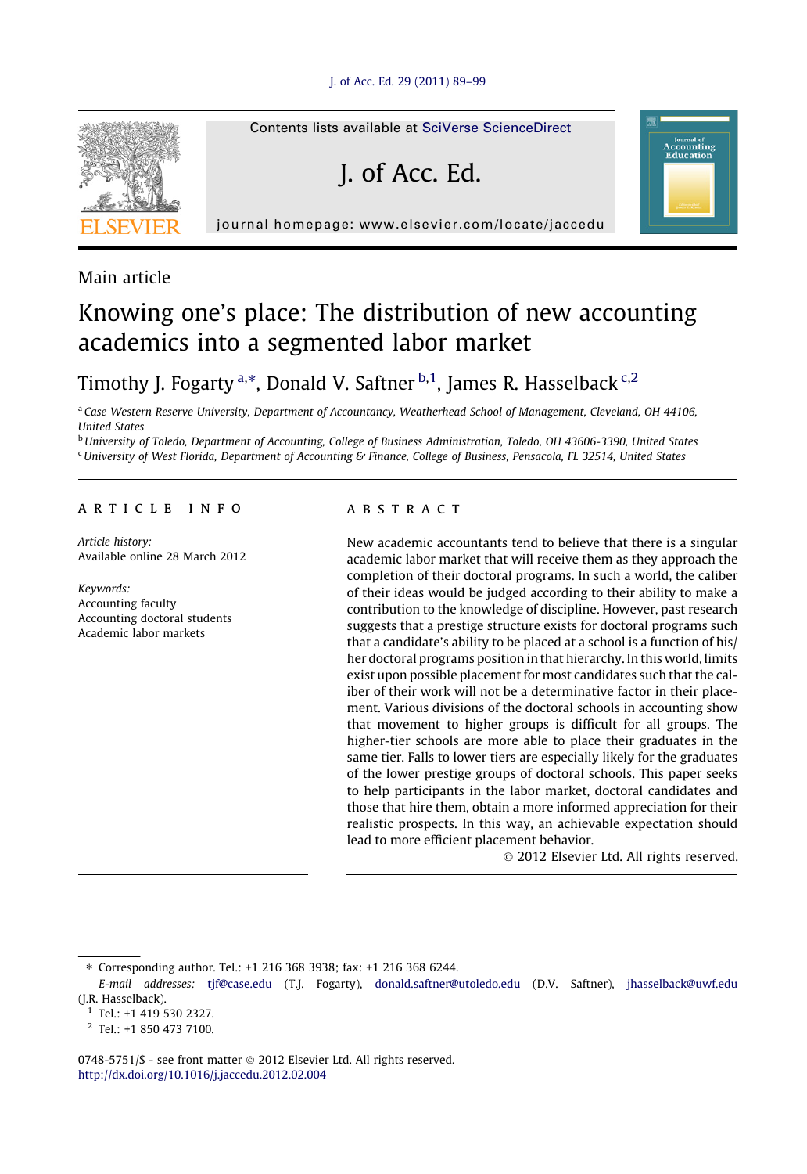

Main article

## Knowing one's place: The distribution of new accounting academics into a segmented labor market

### Timothy J. Fogarty <sup>a,\*</sup>, Donald V. Saftner <sup>b,1</sup>, James R. Hasselback <sup>c,2</sup>

a Case Western Reserve University, Department of Accountancy, Weatherhead School of Management, Cleveland, OH 44106, United States

<sup>b</sup> University of Toledo, Department of Accounting, College of Business Administration, Toledo, OH 43606-3390, United States  $c$ University of West Florida, Department of Accounting & Finance, College of Business, Pensacola, FL 32514, United States

#### article info

Article history: Available online 28 March 2012

Keywords: Accounting faculty Accounting doctoral students Academic labor markets

#### **ABSTRACT**

New academic accountants tend to believe that there is a singular academic labor market that will receive them as they approach the completion of their doctoral programs. In such a world, the caliber of their ideas would be judged according to their ability to make a contribution to the knowledge of discipline. However, past research suggests that a prestige structure exists for doctoral programs such that a candidate's ability to be placed at a school is a function of his/ her doctoral programs position in that hierarchy. In this world, limits exist upon possible placement for most candidates such that the caliber of their work will not be a determinative factor in their placement. Various divisions of the doctoral schools in accounting show that movement to higher groups is difficult for all groups. The higher-tier schools are more able to place their graduates in the same tier. Falls to lower tiers are especially likely for the graduates of the lower prestige groups of doctoral schools. This paper seeks to help participants in the labor market, doctoral candidates and those that hire them, obtain a more informed appreciation for their realistic prospects. In this way, an achievable expectation should lead to more efficient placement behavior.

- 2012 Elsevier Ltd. All rights reserved.

**counting** 

⇑ Corresponding author. Tel.: +1 216 368 3938; fax: +1 216 368 6244.

0748-5751/\$ - see front matter @ 2012 Elsevier Ltd. All rights reserved. <http://dx.doi.org/10.1016/j.jaccedu.2012.02.004>

E-mail addresses: [tjf@case.edu](mailto:tjf@case.edu) (T.J. Fogarty), [donald.saftner@utoledo.edu](mailto:donald.saftner@utoledo.edu) (D.V. Saftner), [jhasselback@uwf.edu](mailto:jhasselback@uwf.edu) (J.R. Hasselback).

 $1$  Tel.: +1 419 530 2327.

<sup>2</sup> Tel.: +1 850 473 7100.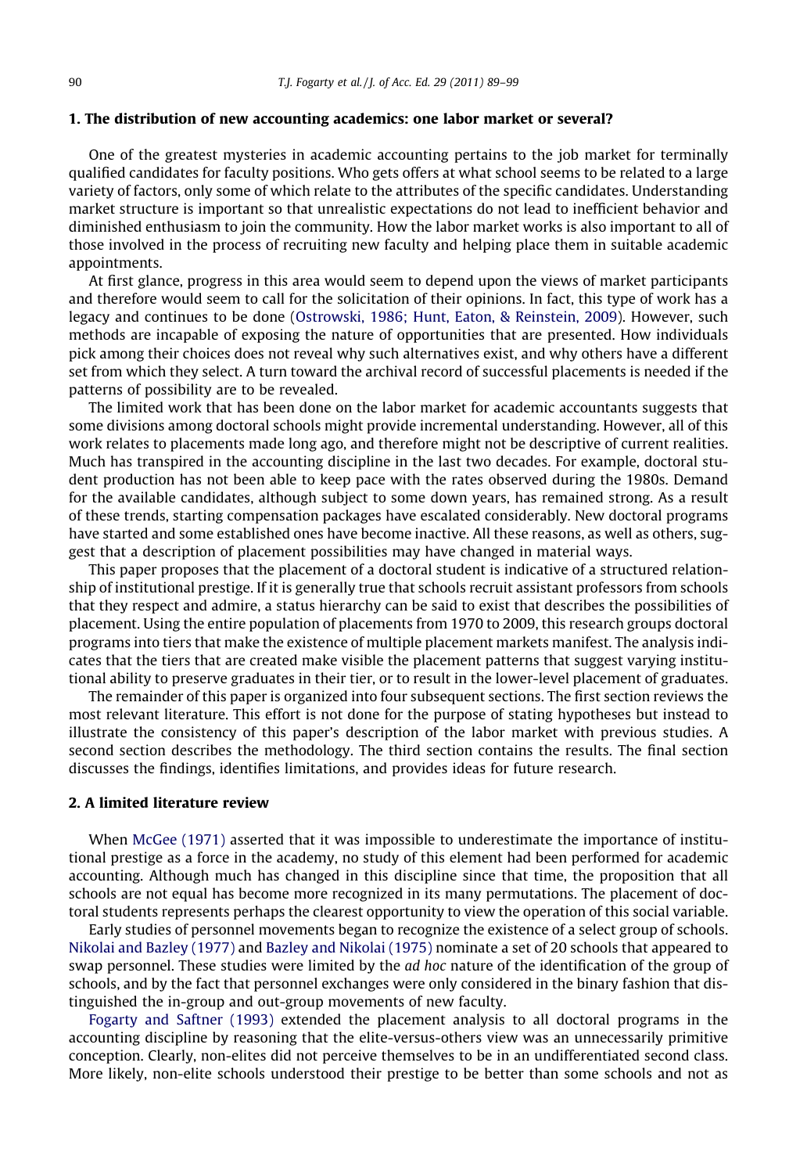#### 1. The distribution of new accounting academics: one labor market or several?

One of the greatest mysteries in academic accounting pertains to the job market for terminally qualified candidates for faculty positions. Who gets offers at what school seems to be related to a large variety of factors, only some of which relate to the attributes of the specific candidates. Understanding market structure is important so that unrealistic expectations do not lead to inefficient behavior and diminished enthusiasm to join the community. How the labor market works is also important to all of those involved in the process of recruiting new faculty and helping place them in suitable academic appointments.

At first glance, progress in this area would seem to depend upon the views of market participants and therefore would seem to call for the solicitation of their opinions. In fact, this type of work has a legacy and continues to be done ([Ostrowski, 1986; Hunt, Eaton, & Reinstein, 2009\)](#page--1-0). However, such methods are incapable of exposing the nature of opportunities that are presented. How individuals pick among their choices does not reveal why such alternatives exist, and why others have a different set from which they select. A turn toward the archival record of successful placements is needed if the patterns of possibility are to be revealed.

The limited work that has been done on the labor market for academic accountants suggests that some divisions among doctoral schools might provide incremental understanding. However, all of this work relates to placements made long ago, and therefore might not be descriptive of current realities. Much has transpired in the accounting discipline in the last two decades. For example, doctoral student production has not been able to keep pace with the rates observed during the 1980s. Demand for the available candidates, although subject to some down years, has remained strong. As a result of these trends, starting compensation packages have escalated considerably. New doctoral programs have started and some established ones have become inactive. All these reasons, as well as others, suggest that a description of placement possibilities may have changed in material ways.

This paper proposes that the placement of a doctoral student is indicative of a structured relationship of institutional prestige. If it is generally true that schools recruit assistant professors from schools that they respect and admire, a status hierarchy can be said to exist that describes the possibilities of placement. Using the entire population of placements from 1970 to 2009, this research groups doctoral programs into tiers that make the existence of multiple placement markets manifest. The analysis indicates that the tiers that are created make visible the placement patterns that suggest varying institutional ability to preserve graduates in their tier, or to result in the lower-level placement of graduates.

The remainder of this paper is organized into four subsequent sections. The first section reviews the most relevant literature. This effort is not done for the purpose of stating hypotheses but instead to illustrate the consistency of this paper's description of the labor market with previous studies. A second section describes the methodology. The third section contains the results. The final section discusses the findings, identifies limitations, and provides ideas for future research.

#### 2. A limited literature review

When [McGee \(1971\)](#page--1-0) asserted that it was impossible to underestimate the importance of institutional prestige as a force in the academy, no study of this element had been performed for academic accounting. Although much has changed in this discipline since that time, the proposition that all schools are not equal has become more recognized in its many permutations. The placement of doctoral students represents perhaps the clearest opportunity to view the operation of this social variable.

Early studies of personnel movements began to recognize the existence of a select group of schools. [Nikolai and Bazley \(1977\)](#page--1-0) and [Bazley and Nikolai \(1975\)](#page--1-0) nominate a set of 20 schools that appeared to swap personnel. These studies were limited by the *ad hoc* nature of the identification of the group of schools, and by the fact that personnel exchanges were only considered in the binary fashion that distinguished the in-group and out-group movements of new faculty.

[Fogarty and Saftner \(1993\)](#page--1-0) extended the placement analysis to all doctoral programs in the accounting discipline by reasoning that the elite-versus-others view was an unnecessarily primitive conception. Clearly, non-elites did not perceive themselves to be in an undifferentiated second class. More likely, non-elite schools understood their prestige to be better than some schools and not as